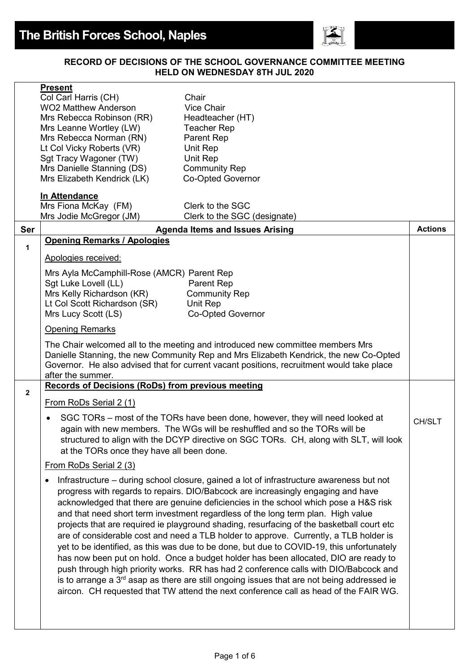

#### **RECORD OF DECISIONS OF THE SCHOOL GOVERNANCE COMMITTEE MEETING HELD ON WEDNESDAY 8TH JUL 2020**

| Mrs Fiona McKay (FM)<br>Mrs Jodie McGregor (JM)<br>Clerk to the SGC (designate)<br>Ser<br><b>Agenda Items and Issues Arising</b><br><b>Opening Remarks / Apologies</b><br>$\mathbf{1}$<br>Apologies received:<br>Mrs Ayla McCamphill-Rose (AMCR) Parent Rep<br>Sgt Luke Lovell (LL)<br>Parent Rep                                                                                                                                                                                                                                                                                                                                                                                                                                                                                                                                                                                                                                                                                                                                 |                |
|-----------------------------------------------------------------------------------------------------------------------------------------------------------------------------------------------------------------------------------------------------------------------------------------------------------------------------------------------------------------------------------------------------------------------------------------------------------------------------------------------------------------------------------------------------------------------------------------------------------------------------------------------------------------------------------------------------------------------------------------------------------------------------------------------------------------------------------------------------------------------------------------------------------------------------------------------------------------------------------------------------------------------------------|----------------|
|                                                                                                                                                                                                                                                                                                                                                                                                                                                                                                                                                                                                                                                                                                                                                                                                                                                                                                                                                                                                                                   |                |
|                                                                                                                                                                                                                                                                                                                                                                                                                                                                                                                                                                                                                                                                                                                                                                                                                                                                                                                                                                                                                                   | <b>Actions</b> |
|                                                                                                                                                                                                                                                                                                                                                                                                                                                                                                                                                                                                                                                                                                                                                                                                                                                                                                                                                                                                                                   |                |
|                                                                                                                                                                                                                                                                                                                                                                                                                                                                                                                                                                                                                                                                                                                                                                                                                                                                                                                                                                                                                                   |                |
|                                                                                                                                                                                                                                                                                                                                                                                                                                                                                                                                                                                                                                                                                                                                                                                                                                                                                                                                                                                                                                   |                |
| Mrs Kelly Richardson (KR)<br><b>Community Rep</b>                                                                                                                                                                                                                                                                                                                                                                                                                                                                                                                                                                                                                                                                                                                                                                                                                                                                                                                                                                                 |                |
| Lt Col Scott Richardson (SR)<br>Unit Rep<br>Mrs Lucy Scott (LS)<br><b>Co-Opted Governor</b>                                                                                                                                                                                                                                                                                                                                                                                                                                                                                                                                                                                                                                                                                                                                                                                                                                                                                                                                       |                |
|                                                                                                                                                                                                                                                                                                                                                                                                                                                                                                                                                                                                                                                                                                                                                                                                                                                                                                                                                                                                                                   |                |
| <b>Opening Remarks</b>                                                                                                                                                                                                                                                                                                                                                                                                                                                                                                                                                                                                                                                                                                                                                                                                                                                                                                                                                                                                            |                |
| The Chair welcomed all to the meeting and introduced new committee members Mrs<br>Danielle Stanning, the new Community Rep and Mrs Elizabeth Kendrick, the new Co-Opted<br>Governor. He also advised that for current vacant positions, recruitment would take place<br>after the summer.                                                                                                                                                                                                                                                                                                                                                                                                                                                                                                                                                                                                                                                                                                                                         |                |
| <b>Records of Decisions (RoDs) from previous meeting</b><br>$\overline{2}$                                                                                                                                                                                                                                                                                                                                                                                                                                                                                                                                                                                                                                                                                                                                                                                                                                                                                                                                                        |                |
| From RoDs Serial 2 (1)                                                                                                                                                                                                                                                                                                                                                                                                                                                                                                                                                                                                                                                                                                                                                                                                                                                                                                                                                                                                            |                |
| SGC TORs – most of the TORs have been done, however, they will need looked at<br>again with new members. The WGs will be reshuffled and so the TORs will be<br>structured to align with the DCYP directive on SGC TORs. CH, along with SLT, will look<br>at the TORs once they have all been done.                                                                                                                                                                                                                                                                                                                                                                                                                                                                                                                                                                                                                                                                                                                                | CH/SLT         |
| From RoDs Serial 2 (3)                                                                                                                                                                                                                                                                                                                                                                                                                                                                                                                                                                                                                                                                                                                                                                                                                                                                                                                                                                                                            |                |
| Infrastructure – during school closure, gained a lot of infrastructure awareness but not<br>٠<br>progress with regards to repairs. DIO/Babcock are increasingly engaging and have<br>acknowledged that there are genuine deficiencies in the school which pose a H&S risk<br>and that need short term investment regardless of the long term plan. High value<br>projects that are required ie playground shading, resurfacing of the basketball court etc<br>are of considerable cost and need a TLB holder to approve. Currently, a TLB holder is<br>yet to be identified, as this was due to be done, but due to COVID-19, this unfortunately<br>has now been put on hold. Once a budget holder has been allocated, DIO are ready to<br>push through high priority works. RR has had 2 conference calls with DIO/Babcock and<br>is to arrange a 3 <sup>rd</sup> asap as there are still ongoing issues that are not being addressed ie<br>aircon. CH requested that TW attend the next conference call as head of the FAIR WG. |                |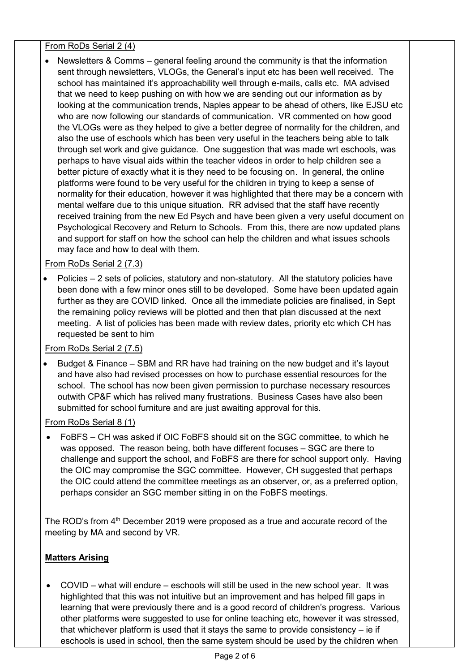## From RoDs Serial 2 (4)

• Newsletters & Comms – general feeling around the community is that the information sent through newsletters, VLOGs, the General's input etc has been well received. The school has maintained it's approachability well through e-mails, calls etc. MA advised that we need to keep pushing on with how we are sending out our information as by looking at the communication trends, Naples appear to be ahead of others, like EJSU etc who are now following our standards of communication. VR commented on how good the VLOGs were as they helped to give a better degree of normality for the children, and also the use of eschools which has been very useful in the teachers being able to talk through set work and give guidance. One suggestion that was made wrt eschools, was perhaps to have visual aids within the teacher videos in order to help children see a better picture of exactly what it is they need to be focusing on. In general, the online platforms were found to be very useful for the children in trying to keep a sense of normality for their education, however it was highlighted that there may be a concern with mental welfare due to this unique situation. RR advised that the staff have recently received training from the new Ed Psych and have been given a very useful document on Psychological Recovery and Return to Schools. From this, there are now updated plans and support for staff on how the school can help the children and what issues schools may face and how to deal with them.

## From RoDs Serial 2 (7.3)

• Policies – 2 sets of policies, statutory and non-statutory. All the statutory policies have been done with a few minor ones still to be developed. Some have been updated again further as they are COVID linked. Once all the immediate policies are finalised, in Sept the remaining policy reviews will be plotted and then that plan discussed at the next meeting. A list of policies has been made with review dates, priority etc which CH has requested be sent to him

## From RoDs Serial 2 (7.5)

• Budget & Finance – SBM and RR have had training on the new budget and it's layout and have also had revised processes on how to purchase essential resources for the school. The school has now been given permission to purchase necessary resources outwith CP&F which has relived many frustrations. Business Cases have also been submitted for school furniture and are just awaiting approval for this.

## From RoDs Serial 8 (1)

• FoBFS – CH was asked if OIC FoBFS should sit on the SGC committee, to which he was opposed. The reason being, both have different focuses – SGC are there to challenge and support the school, and FoBFS are there for school support only. Having the OIC may compromise the SGC committee. However, CH suggested that perhaps the OIC could attend the committee meetings as an observer, or, as a preferred option, perhaps consider an SGC member sitting in on the FoBFS meetings.

The ROD's from  $4<sup>th</sup>$  December 2019 were proposed as a true and accurate record of the meeting by MA and second by VR.

# **Matters Arising**

• COVID – what will endure – eschools will still be used in the new school year. It was highlighted that this was not intuitive but an improvement and has helped fill gaps in learning that were previously there and is a good record of children's progress. Various other platforms were suggested to use for online teaching etc, however it was stressed, that whichever platform is used that it stays the same to provide consistency – ie if eschools is used in school, then the same system should be used by the children when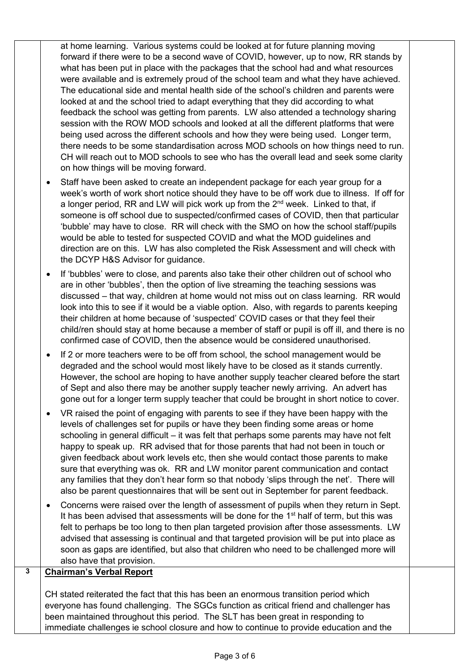at home learning. Various systems could be looked at for future planning moving forward if there were to be a second wave of COVID, however, up to now, RR stands by what has been put in place with the packages that the school had and what resources were available and is extremely proud of the school team and what they have achieved. The educational side and mental health side of the school's children and parents were looked at and the school tried to adapt everything that they did according to what feedback the school was getting from parents. LW also attended a technology sharing session with the ROW MOD schools and looked at all the different platforms that were being used across the different schools and how they were being used. Longer term, there needs to be some standardisation across MOD schools on how things need to run. CH will reach out to MOD schools to see who has the overall lead and seek some clarity on how things will be moving forward.

- Staff have been asked to create an independent package for each year group for a week's worth of work short notice should they have to be off work due to illness. If off for a longer period, RR and LW will pick work up from the 2<sup>nd</sup> week. Linked to that, if someone is off school due to suspected/confirmed cases of COVID, then that particular 'bubble' may have to close. RR will check with the SMO on how the school staff/pupils would be able to tested for suspected COVID and what the MOD guidelines and direction are on this. LW has also completed the Risk Assessment and will check with the DCYP H&S Advisor for guidance.
- If 'bubbles' were to close, and parents also take their other children out of school who are in other 'bubbles', then the option of live streaming the teaching sessions was discussed – that way, children at home would not miss out on class learning. RR would look into this to see if it would be a viable option. Also, with regards to parents keeping their children at home because of 'suspected' COVID cases or that they feel their child/ren should stay at home because a member of staff or pupil is off ill, and there is no confirmed case of COVID, then the absence would be considered unauthorised.
- If 2 or more teachers were to be off from school, the school management would be degraded and the school would most likely have to be closed as it stands currently. However, the school are hoping to have another supply teacher cleared before the start of Sept and also there may be another supply teacher newly arriving. An advert has gone out for a longer term supply teacher that could be brought in short notice to cover.
- VR raised the point of engaging with parents to see if they have been happy with the levels of challenges set for pupils or have they been finding some areas or home schooling in general difficult – it was felt that perhaps some parents may have not felt happy to speak up. RR advised that for those parents that had not been in touch or given feedback about work levels etc, then she would contact those parents to make sure that everything was ok. RR and LW monitor parent communication and contact any families that they don't hear form so that nobody 'slips through the net'. There will also be parent questionnaires that will be sent out in September for parent feedback.
- Concerns were raised over the length of assessment of pupils when they return in Sept. It has been advised that assessments will be done for the 1<sup>st</sup> half of term, but this was felt to perhaps be too long to then plan targeted provision after those assessments. LW advised that assessing is continual and that targeted provision will be put into place as soon as gaps are identified, but also that children who need to be challenged more will also have that provision.

## **3 Chairman's Verbal Report**

CH stated reiterated the fact that this has been an enormous transition period which everyone has found challenging. The SGCs function as critical friend and challenger has been maintained throughout this period. The SLT has been great in responding to immediate challenges ie school closure and how to continue to provide education and the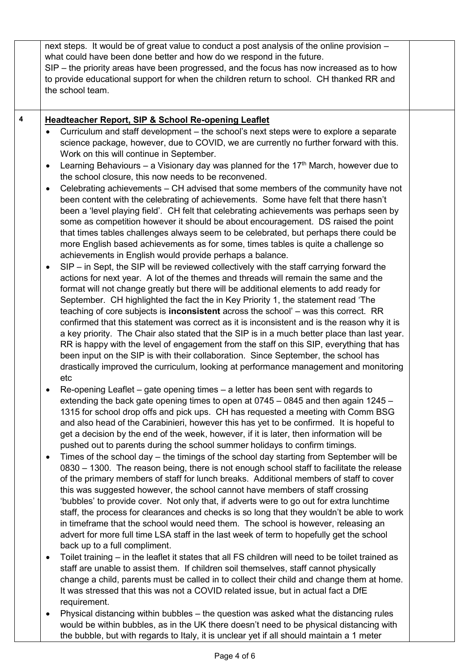|   | next steps. It would be of great value to conduct a post analysis of the online provision -<br>what could have been done better and how do we respond in the future.<br>SIP – the priority areas have been progressed, and the focus has now increased as to how<br>to provide educational support for when the children return to school. CH thanked RR and<br>the school team.                                                                                                                                                                                                                                                                                                                                                                                                                                                                                                                                                                                                                                                                                                                                                                                                                                                                                                                                                                                                                                                                                                                                                                                                                                                                                                                                                                                                                                                                                                                                                                                                                                                                       |  |
|---|--------------------------------------------------------------------------------------------------------------------------------------------------------------------------------------------------------------------------------------------------------------------------------------------------------------------------------------------------------------------------------------------------------------------------------------------------------------------------------------------------------------------------------------------------------------------------------------------------------------------------------------------------------------------------------------------------------------------------------------------------------------------------------------------------------------------------------------------------------------------------------------------------------------------------------------------------------------------------------------------------------------------------------------------------------------------------------------------------------------------------------------------------------------------------------------------------------------------------------------------------------------------------------------------------------------------------------------------------------------------------------------------------------------------------------------------------------------------------------------------------------------------------------------------------------------------------------------------------------------------------------------------------------------------------------------------------------------------------------------------------------------------------------------------------------------------------------------------------------------------------------------------------------------------------------------------------------------------------------------------------------------------------------------------------------|--|
| 4 | <b>Headteacher Report, SIP &amp; School Re-opening Leaflet</b><br>Curriculum and staff development – the school's next steps were to explore a separate<br>$\bullet$<br>science package, however, due to COVID, we are currently no further forward with this.<br>Work on this will continue in September.<br>Learning Behaviours – a Visionary day was planned for the 17 <sup>th</sup> March, however due to<br>$\bullet$<br>the school closure, this now needs to be reconvened.<br>Celebrating achievements – CH advised that some members of the community have not<br>$\bullet$<br>been content with the celebrating of achievements. Some have felt that there hasn't<br>been a 'level playing field'. CH felt that celebrating achievements was perhaps seen by<br>some as competition however it should be about encouragement. DS raised the point<br>that times tables challenges always seem to be celebrated, but perhaps there could be<br>more English based achievements as for some, times tables is quite a challenge so<br>achievements in English would provide perhaps a balance.<br>SIP – in Sept, the SIP will be reviewed collectively with the staff carrying forward the<br>actions for next year. A lot of the themes and threads will remain the same and the<br>format will not change greatly but there will be additional elements to add ready for<br>September. CH highlighted the fact the in Key Priority 1, the statement read 'The<br>teaching of core subjects is <b>inconsistent</b> across the school' - was this correct. RR<br>confirmed that this statement was correct as it is inconsistent and is the reason why it is<br>a key priority. The Chair also stated that the SIP is in a much better place than last year.<br>RR is happy with the level of engagement from the staff on this SIP, everything that has<br>been input on the SIP is with their collaboration. Since September, the school has<br>drastically improved the curriculum, looking at performance management and monitoring<br>etc |  |
|   | Re-opening Leaflet – gate opening times – a letter has been sent with regards to<br>extending the back gate opening times to open at 0745 – 0845 and then again 1245 –<br>1315 for school drop offs and pick ups. CH has requested a meeting with Comm BSG<br>and also head of the Carabinieri, however this has yet to be confirmed. It is hopeful to<br>get a decision by the end of the week, however, if it is later, then information will be<br>pushed out to parents during the school summer holidays to confirm timings.<br>Times of the school day – the timings of the school day starting from September will be<br>$\bullet$<br>0830 - 1300. The reason being, there is not enough school staff to facilitate the release<br>of the primary members of staff for lunch breaks. Additional members of staff to cover<br>this was suggested however, the school cannot have members of staff crossing<br>'bubbles' to provide cover. Not only that, if adverts were to go out for extra lunchtime<br>staff, the process for clearances and checks is so long that they wouldn't be able to work<br>in timeframe that the school would need them. The school is however, releasing an<br>advert for more full time LSA staff in the last week of term to hopefully get the school<br>back up to a full compliment.<br>Toilet training – in the leaflet it states that all FS children will need to be toilet trained as<br>$\bullet$<br>staff are unable to assist them. If children soil themselves, staff cannot physically<br>change a child, parents must be called in to collect their child and change them at home.<br>It was stressed that this was not a COVID related issue, but in actual fact a DfE<br>requirement.                                                                                                                                                                                                                                                                                                              |  |
|   | Physical distancing within bubbles - the question was asked what the distancing rules<br>٠<br>would be within hubbles, as in the LIK there doesn't need to be physical distancing with                                                                                                                                                                                                                                                                                                                                                                                                                                                                                                                                                                                                                                                                                                                                                                                                                                                                                                                                                                                                                                                                                                                                                                                                                                                                                                                                                                                                                                                                                                                                                                                                                                                                                                                                                                                                                                                                 |  |

would be within bubbles, as in the UK there doesn't need to be physical distancing with the bubble, but with regards to Italy, it is unclear yet if all should maintain a 1 meter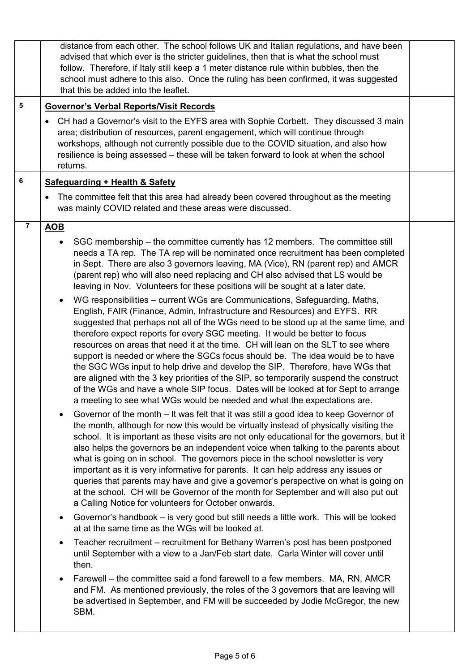|                         | distance from each other. The school follows UK and Italian regulations, and have been<br>advised that which ever is the stricter guidelines, then that is what the school must<br>follow. Therefore, if Italy still keep a 1 meter distance rule within bubbles, then the<br>school must adhere to this also. Once the ruling has been confirmed, it was suggested<br>that this be added into the leaflet.                                                                                                                                                                                                                                                                                                                                                                                                                                       |  |
|-------------------------|---------------------------------------------------------------------------------------------------------------------------------------------------------------------------------------------------------------------------------------------------------------------------------------------------------------------------------------------------------------------------------------------------------------------------------------------------------------------------------------------------------------------------------------------------------------------------------------------------------------------------------------------------------------------------------------------------------------------------------------------------------------------------------------------------------------------------------------------------|--|
| $\overline{\mathbf{5}}$ | <b>Governor's Verbal Reports/Visit Records</b>                                                                                                                                                                                                                                                                                                                                                                                                                                                                                                                                                                                                                                                                                                                                                                                                    |  |
|                         | CH had a Governor's visit to the EYFS area with Sophie Corbett. They discussed 3 main<br>٠<br>area; distribution of resources, parent engagement, which will continue through<br>workshops, although not currently possible due to the COVID situation, and also how<br>resilience is being assessed - these will be taken forward to look at when the school<br>returns.                                                                                                                                                                                                                                                                                                                                                                                                                                                                         |  |
| 6                       | <b>Safeguarding + Health &amp; Safety</b>                                                                                                                                                                                                                                                                                                                                                                                                                                                                                                                                                                                                                                                                                                                                                                                                         |  |
|                         | The committee felt that this area had already been covered throughout as the meeting<br>$\bullet$<br>was mainly COVID related and these areas were discussed.                                                                                                                                                                                                                                                                                                                                                                                                                                                                                                                                                                                                                                                                                     |  |
| $\overline{\mathbf{r}}$ | <b>AOB</b>                                                                                                                                                                                                                                                                                                                                                                                                                                                                                                                                                                                                                                                                                                                                                                                                                                        |  |
|                         | SGC membership – the committee currently has 12 members. The committee still<br>needs a TA rep. The TA rep will be nominated once recruitment has been completed<br>in Sept. There are also 3 governors leaving, MA (Vice), RN (parent rep) and AMCR<br>(parent rep) who will also need replacing and CH also advised that LS would be<br>leaving in Nov. Volunteers for these positions will be sought at a later date.                                                                                                                                                                                                                                                                                                                                                                                                                          |  |
|                         | WG responsibilities - current WGs are Communications, Safeguarding, Maths,<br>English, FAIR (Finance, Admin, Infrastructure and Resources) and EYFS. RR<br>suggested that perhaps not all of the WGs need to be stood up at the same time, and<br>therefore expect reports for every SGC meeting. It would be better to focus<br>resources on areas that need it at the time. CH will lean on the SLT to see where<br>support is needed or where the SGCs focus should be. The idea would be to have<br>the SGC WGs input to help drive and develop the SIP. Therefore, have WGs that<br>are aligned with the 3 key priorities of the SIP, so temporarily suspend the construct<br>of the WGs and have a whole SIP focus. Dates will be looked at for Sept to arrange<br>a meeting to see what WGs would be needed and what the expectations are. |  |
|                         | Governor of the month – It was felt that it was still a good idea to keep Governor of<br>the month, although for now this would be virtually instead of physically visiting the<br>school. It is important as these visits are not only educational for the governors, but it<br>also helps the governors be an independent voice when talking to the parents about<br>what is going on in school. The governors piece in the school newsletter is very<br>important as it is very informative for parents. It can help address any issues or<br>queries that parents may have and give a governor's perspective on what is going on<br>at the school. CH will be Governor of the month for September and will also put out<br>a Calling Notice for volunteers for October onwards.                                                               |  |
|                         | Governor's handbook – is very good but still needs a little work. This will be looked<br>at at the same time as the WGs will be looked at.                                                                                                                                                                                                                                                                                                                                                                                                                                                                                                                                                                                                                                                                                                        |  |
|                         | Teacher recruitment – recruitment for Bethany Warren's post has been postponed<br>until September with a view to a Jan/Feb start date. Carla Winter will cover until<br>then.                                                                                                                                                                                                                                                                                                                                                                                                                                                                                                                                                                                                                                                                     |  |
|                         | Farewell – the committee said a fond farewell to a few members. MA, RN, AMCR<br>and FM. As mentioned previously, the roles of the 3 governors that are leaving will<br>be advertised in September, and FM will be succeeded by Jodie McGregor, the new<br>SBM.                                                                                                                                                                                                                                                                                                                                                                                                                                                                                                                                                                                    |  |
|                         |                                                                                                                                                                                                                                                                                                                                                                                                                                                                                                                                                                                                                                                                                                                                                                                                                                                   |  |